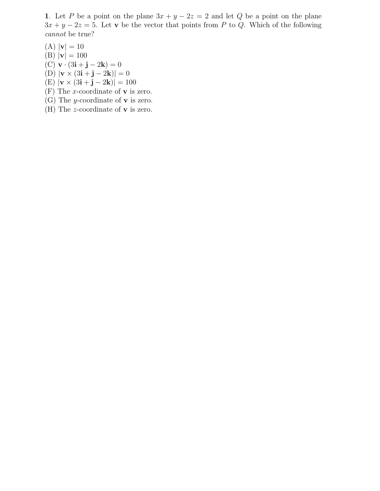1. Let P be a point on the plane  $3x + y - 2z = 2$  and let Q be a point on the plane  $3x + y - 2z = 5$ . Let v be the vector that points from P to Q. Which of the following cannot be true?

 $(A) |v| = 10$ (B)  $|{\bf v}| = 100$  $(C) \mathbf{v} \cdot (3\mathbf{i} + \mathbf{j} - 2\mathbf{k}) = 0$ (D)  $|{\bf v} \times (3{\bf i} + {\bf j} - 2{\bf k})| = 0$ (E)  $|{\bf v} \times (3i + j - 2k)| = 100$ 

- (F) The *x*-coordinate of **v** is zero.
- (G) The *y*-coordinate of **v** is zero.
- (H) The *z*-coordinate of **v** is zero.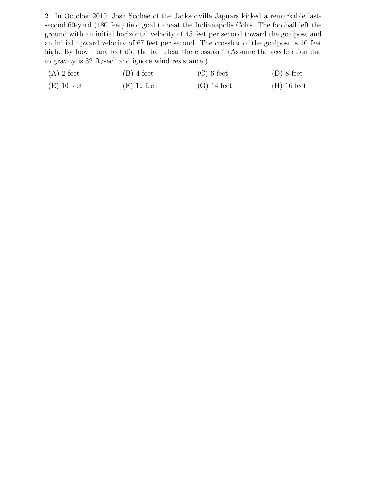2. In October 2010, Josh Scobee of the Jacksonville Jaguars kicked a remarkable lastsecond 60-yard (180 feet) field goal to beat the Indianapolis Colts. The football left the ground with an initial horizontal velocity of 45 feet per second toward the goalpost and an initial upward velocity of 67 feet per second. The crossbar of the goalpost is 10 feet high. By how many feet did the ball clear the crossbar? (Assume the acceleration due to gravity is  $32 \text{ ft/sec}^2$  and ignore wind resistance.)

| $(A)$ 2 feet  | $(B)$ 4 feet  | $(C)$ 6 feet  | $(D)$ 8 feet  |
|---------------|---------------|---------------|---------------|
| $(E)$ 10 feet | $(F)$ 12 feet | $(G)$ 14 feet | $(H)$ 16 feet |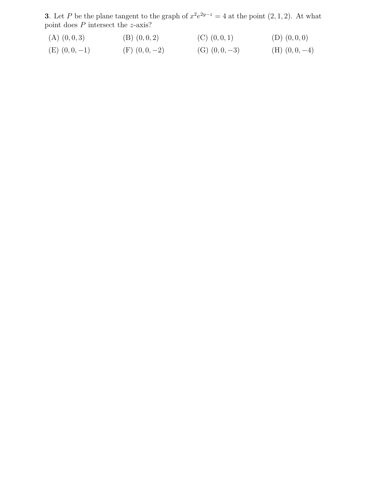**3**. Let P be the plane tangent to the graph of  $x^2e^{2y-z} = 4$  at the point  $(2,1,2)$ . At what point does  $P$  intersect the  $z$ -axis?

| $(A)$ $(0,0,3)$          | $(B)$ $(0,0,2)$   | $(C)$ $(0,0,1)$   | $(D)$ $(0,0,0)$    |
|--------------------------|-------------------|-------------------|--------------------|
| $(\Box)$ $(\cap \cap$ 1) | $(D)$ $(0, 0, 0)$ | $(0)$ $(0, 0, 0)$ | $(TT)$ $(0, 0, 1)$ |

(E)  $(0, 0, -1)$  (F)  $(0, 0, -2)$  (G)  $(0, 0, -3)$  (H)  $(0, 0, -4)$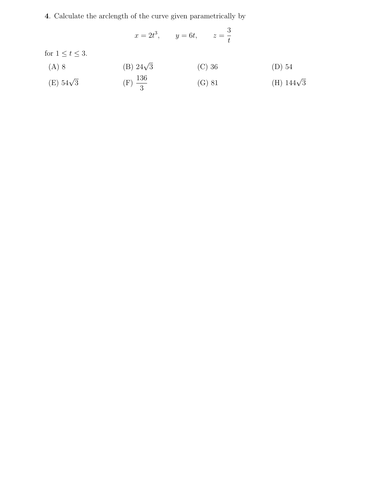4. Calculate the arclength of the curve given parametrically by

$$
x = 2t^3, \qquad y = 6t, \qquad z = \frac{3}{t}
$$

for  $1 \le t \le 3$ .

(A) 8 (B) 
$$
24\sqrt{3}
$$
 (C) 36 (D) 54

(E) 
$$
54\sqrt{3}
$$
 (F)  $\frac{136}{3}$  (G) 81 (H)  $144\sqrt{3}$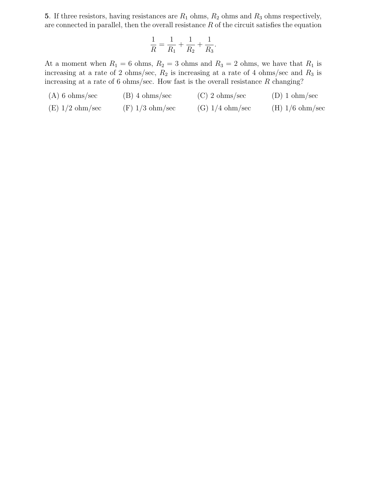5. If three resistors, having resistances are  $R_1$  ohms,  $R_2$  ohms and  $R_3$  ohms respectively, are connected in parallel, then the overall resistance  $R$  of the circuit satisfies the equation

$$
\frac{1}{R} = \frac{1}{R_1} + \frac{1}{R_2} + \frac{1}{R_3}.
$$

At a moment when  $R_1 = 6$  ohms,  $R_2 = 3$  ohms and  $R_3 = 2$  ohms, we have that  $R_1$  is increasing at a rate of 2 ohms/sec,  $R_2$  is increasing at a rate of 4 ohms/sec and  $R_3$  is increasing at a rate of 6 ohms/sec. How fast is the overall resistance  $R$  changing?

(A) 6 ohms/sec (B) 4 ohms/sec (C) 2 ohms/sec (D) 1 ohm/sec (E)  $1/2$  ohm/sec (F)  $1/3$  ohm/sec (G)  $1/4$  ohm/sec (H)  $1/6$  ohm/sec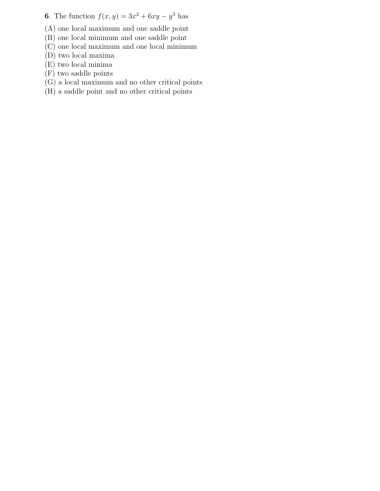**6.** The function  $f(x, y) = 3x^2 + 6xy - y^3$  has

(A) one local maximum and one saddle point

(B) one local minimum and one saddle point

- (C) one local maximum and one local minimum
- (D) two local maxima
- (E) two local minima
- (F) two saddle points
- (G) a local maximum and no other critical points
- (H) a saddle point and no other critical points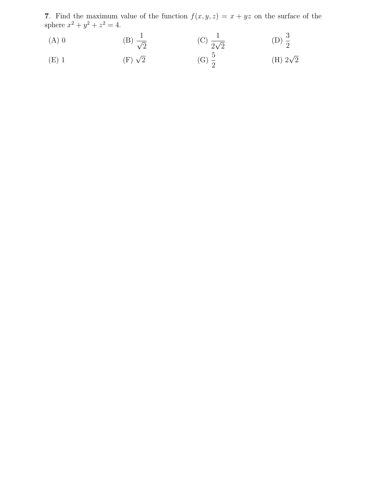7. Find the maximum value of the function  $f(x, y, z) = x + yz$  on the surface of the sphere  $x^2 + y^2 + z^2 = 4$ .

(A) 0  
\n(B) 
$$
\frac{1}{\sqrt{2}}
$$
  
\n(C)  $\frac{1}{2\sqrt{2}}$   
\n(D)  $\frac{3}{2}$   
\n(E) 1  
\n(F)  $\sqrt{2}$   
\n(G)  $\frac{5}{2}$   
\n(G)  $\frac{5}{2}$   
\n(H)  $2\sqrt{2}$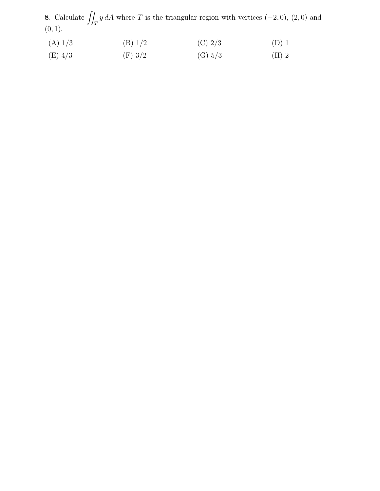8. Calculate  $\iint_T y dA$  where T is the triangular region with vertices (−2, 0), (2, 0) and  $(0, 1).$ 

| (A) 1/3   | (B) 1/2 | (C) $2/3$ | $(D)$ 1 |
|-----------|---------|-----------|---------|
| $(E)$ 4/3 | (F) 3/2 | (G) 5/3   | $(H)$ 2 |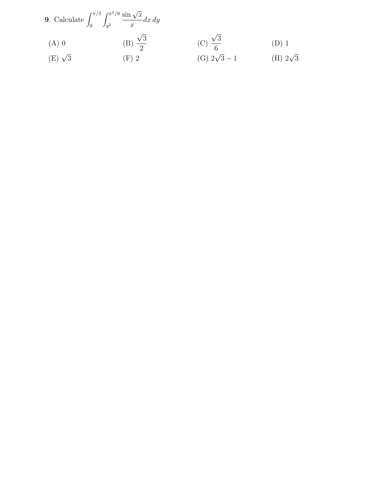9. Calculate 
$$
\int_0^{\pi/3} \int_{y^2}^{\pi^2/9} \frac{\sin \sqrt{x}}{x} dx dy
$$
  
\n(A) 0  
\n(B)  $\frac{\sqrt{3}}{2}$   
\n(C)  $\frac{\sqrt{3}}{6}$   
\n(D) 1  
\n(E)  $\sqrt{3}$   
\n(F) 2  
\n3  
\n(C)  $\frac{\sqrt{3}}{6}$   
\n(D) 1  
\n(E)  $\sqrt{3}$   
\n(E)  $\sqrt{3}$   
\n(E) 2 $\sqrt{3}$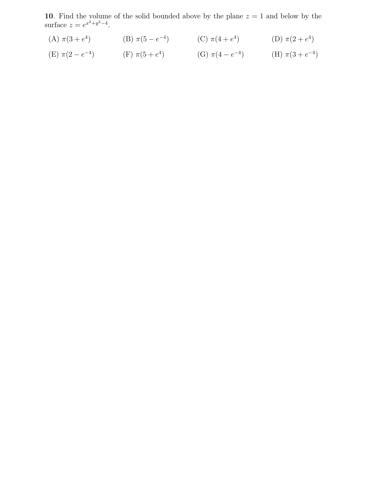10. Find the volume of the solid bounded above by the plane  $z = 1$  and below by the surface  $z = e^{x^2 + y^2 - 4}$ .

(A) 
$$
\pi(3 + e^4)
$$
 \t\t (B)  $\pi(5 - e^{-4})$  \t\t (C)  $\pi(4 + e^4)$  \t\t (D)  $\pi(2 + e^4)$ 

(E) 
$$
\pi(2 - e^{-4})
$$
 (F)  $\pi(5 + e^{4})$  (G)  $\pi(4 - e^{-4})$  (H)  $\pi(3 + e^{-4})$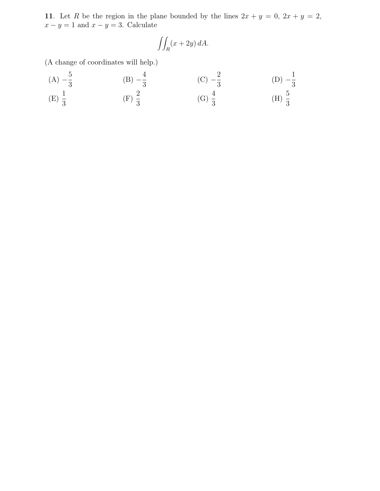11. Let R be the region in the plane bounded by the lines  $2x + y = 0$ ,  $2x + y = 2$ ,  $x - y = 1$  and  $x - y = 3$ . Calculate

$$
\iint_R (x+2y) \, dA.
$$

(A change of coordinates will help.)

(A) 
$$
-\frac{5}{3}
$$
 \t(B)  $-\frac{4}{3}$  \t(C)  $-\frac{2}{3}$  \t(D)  $-\frac{1}{3}$   
\n(E)  $\frac{1}{3}$  \t(F)  $\frac{2}{3}$  \t(G)  $\frac{4}{3}$  \t(H)  $\frac{5}{3}$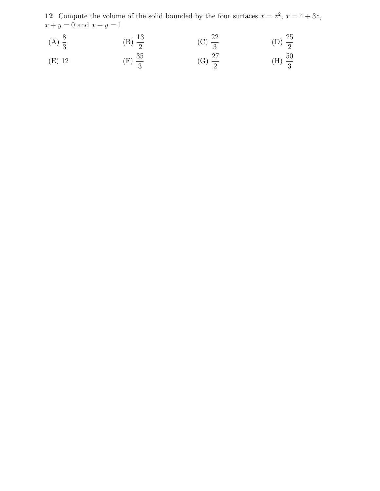**12**. Compute the volume of the solid bounded by the four surfaces  $x = z^2$ ,  $x = 4 + 3z$ ,  $x + y = 0$  and  $x + y = 1$ 

(A) 
$$
\frac{8}{3}
$$
 \t(B)  $\frac{13}{2}$  \t(C)  $\frac{22}{3}$  \t(D)  $\frac{25}{2}$   
\n(E) 12 \t(F)  $\frac{35}{3}$  \t(G)  $\frac{27}{2}$  \t(H)  $\frac{50}{3}$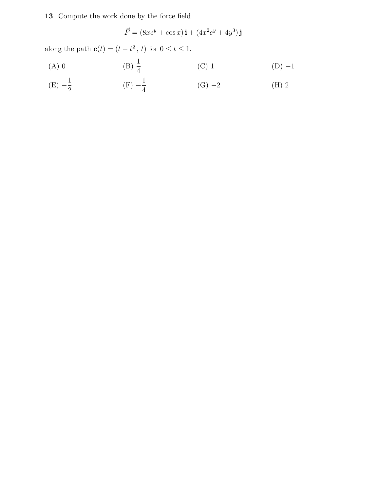## 13. Compute the work done by the force field

$$
\vec{F} = (8xe^y + \cos x)\,\mathbf{i} + (4x^2e^y + 4y^3)\,\mathbf{j}
$$

along the path  $\mathbf{c}(t) = (t - t^2, t)$  for  $0 \le t \le 1$ .

(A) 0 \t\t (B) 
$$
\frac{1}{4}
$$
 \t\t (C) 1 \t\t (D) -1

(E) 
$$
-\frac{1}{2}
$$
 \t\t (F)  $-\frac{1}{4}$  \t\t (G)  $-2$  \t\t (H) 2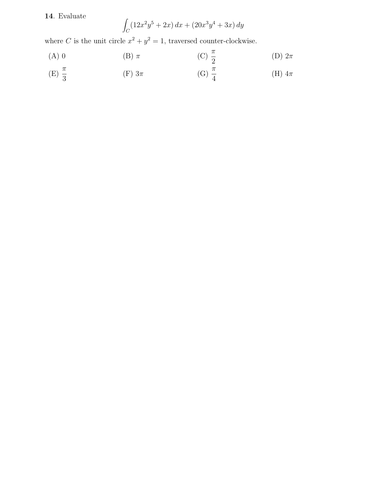## 14. Evaluate

$$
\int_C (12x^2y^5 + 2x) \, dx + (20x^3y^4 + 3x) \, dy
$$

where C is the unit circle  $x^2 + y^2 = 1$ , traversed counter-clockwise.

(A) 0 (B) 
$$
\pi
$$
 (C)  $\frac{\pi}{2}$  (D)  $2\pi$ 

(E) 
$$
\frac{\pi}{3}
$$
 \t\t (F)  $3\pi$  \t\t (G)  $\frac{\pi}{4}$  \t\t (H)  $4\pi$